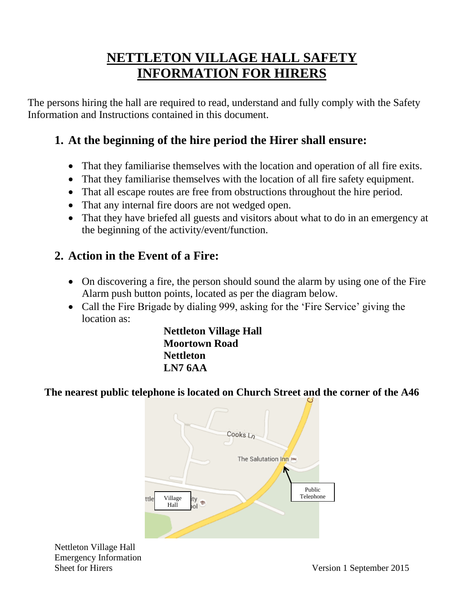## **NETTLETON VILLAGE HALL SAFETY INFORMATION FOR HIRERS**

The persons hiring the hall are required to read, understand and fully comply with the Safety Information and Instructions contained in this document.

## **1. At the beginning of the hire period the Hirer shall ensure:**

- That they familiarise themselves with the location and operation of all fire exits.
- That they familiarise themselves with the location of all fire safety equipment.
- That all escape routes are free from obstructions throughout the hire period.
- That any internal fire doors are not wedged open.
- That they have briefed all guests and visitors about what to do in an emergency at the beginning of the activity/event/function.

### **2. Action in the Event of a Fire:**

- On discovering a fire, the person should sound the alarm by using one of the Fire Alarm push button points, located as per the diagram below.
- Call the Fire Brigade by dialing 999, asking for the 'Fire Service' giving the location as:

 **Nettleton Village Hall Moortown Road Nettleton LN7 6AA**

#### **The nearest public telephone is located on Church Street and the corner of the A46**



Nettleton Village Hall Emergency Information Sheet for Hirers Version 1 September 2015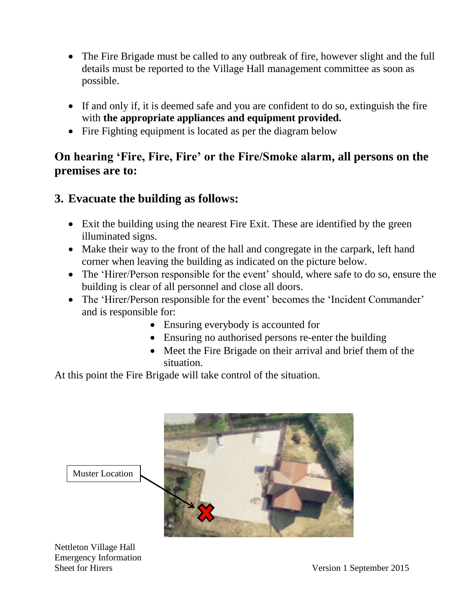- The Fire Brigade must be called to any outbreak of fire, however slight and the full details must be reported to the Village Hall management committee as soon as possible.
- If and only if, it is deemed safe and you are confident to do so, extinguish the fire with **the appropriate appliances and equipment provided.**
- Fire Fighting equipment is located as per the diagram below

#### **On hearing 'Fire, Fire, Fire' or the Fire/Smoke alarm, all persons on the premises are to:**

#### **3. Evacuate the building as follows:**

- Exit the building using the nearest Fire Exit. These are identified by the green illuminated signs.
- Make their way to the front of the hall and congregate in the carpark, left hand corner when leaving the building as indicated on the picture below.
- The 'Hirer/Person responsible for the event' should, where safe to do so, ensure the building is clear of all personnel and close all doors.
- The 'Hirer/Person responsible for the event' becomes the 'Incident Commander' and is responsible for:
	- Ensuring everybody is accounted for
	- Ensuring no authorised persons re-enter the building
	- Meet the Fire Brigade on their arrival and brief them of the situation.

At this point the Fire Brigade will take control of the situation.



Nettleton Village Hall Emergency Information